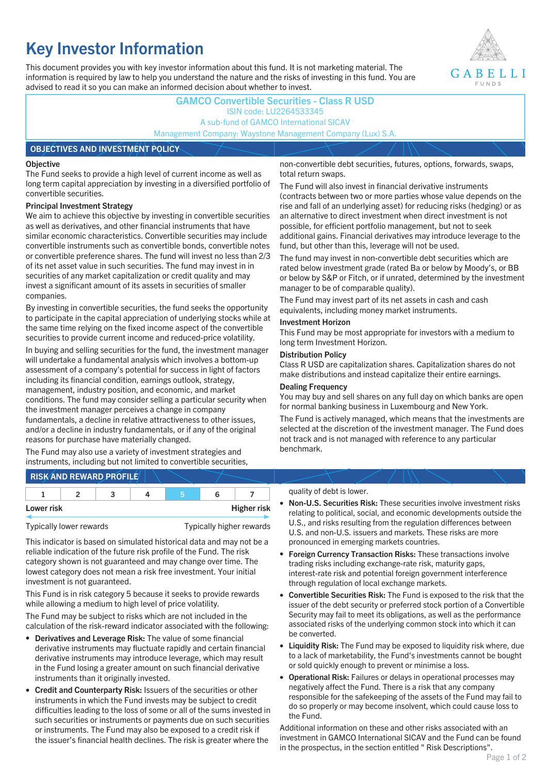# **Key Investor Information**

This document provides you with key investor information about this fund. It is not marketing material. The information is required by law to help you understand the nature and the risks of investing in this fund. You are advised to read it so you can make an informed decision about whether to invest.



### **GAMCO Convertible Securities - Class R USD** ISIN code: LU2264533345 A sub-fund of GAMCO International SICAV Management Company: Waystone Management Company (Lux) S.A.

#### **OBJECTIVES AND INVESTMENT POLICY**

#### **Objective**

The Fund seeks to provide a high level of current income as well as long term capital appreciation by investing in a diversified portfolio of convertible securities.

#### **Principal Investment Strategy**

We aim to achieve this objective by investing in convertible securities as well as derivatives, and other financial instruments that have similar economic characteristics. Convertible securities may include convertible instruments such as convertible bonds, convertible notes or convertible preference shares. The fund will invest no less than 2/3 of its net asset value in such securities. The fund may invest in in securities of any market capitalization or credit quality and may invest a significant amount of its assets in securities of smaller companies.

By investing in convertible securities, the fund seeks the opportunity to participate in the capital appreciation of underlying stocks while at the same time relying on the fixed income aspect of the convertible securities to provide current income and reduced-price volatility.

In buying and selling securities for the fund, the investment manager will undertake a fundamental analysis which involves a bottom-up assessment of a company's potential for success in light of factors including its financial condition, earnings outlook, strategy, management, industry position, and economic, and market conditions. The fund may consider selling a particular security when the investment manager perceives a change in company fundamentals, a decline in relative attractiveness to other issues, and/or a decline in industry fundamentals, or if any of the original reasons for purchase have materially changed.

The Fund may also use a variety of investment strategies and instruments, including but not limited to convertible securities, non-convertible debt securities, futures, options, forwards, swaps, total return swaps.

The Fund will also invest in financial derivative instruments (contracts between two or more parties whose value depends on the rise and fall of an underlying asset) for reducing risks (hedging) or as an alternative to direct investment when direct investment is not possible, for efficient portfolio management, but not to seek additional gains. Financial derivatives may introduce leverage to the fund, but other than this, leverage will not be used.

The fund may invest in non-convertible debt securities which are rated below investment grade (rated Ba or below by Moody's, or BB or below by S&P or Fitch, or if unrated, determined by the investment manager to be of comparable quality).

The Fund may invest part of its net assets in cash and cash equivalents, including money market instruments.

#### **Investment Horizon**

This Fund may be most appropriate for investors with a medium to long term Investment Horizon.

#### **Distribution Policy**

Class R USD are capitalization shares. Capitalization shares do not make distributions and instead capitalize their entire earnings.

#### **Dealing Frequency**

You may buy and sell shares on any full day on which banks are open for normal banking business in Luxembourg and New York.

The Fund is actively managed, which means that the investments are selected at the discretion of the investment manager. The Fund does not track and is not managed with reference to any particular benchmark.

## **RISK AND REWARD PROFILE**

|            | ∽ |  |                    |
|------------|---|--|--------------------|
| Lower risk |   |  | <b>Higher risk</b> |

Typically lower rewards Typically higher rewards

This indicator is based on simulated historical data and may not be a reliable indication of the future risk profile of the Fund. The risk category shown is not guaranteed and may change over time. The lowest category does not mean a risk free investment. Your initial investment is not guaranteed.

This Fund is in risk category 5 because it seeks to provide rewards while allowing a medium to high level of price volatility.

The Fund may be subject to risks which are not included in the calculation of the risk-reward indicator associated with the following:

- **Derivatives and Leverage Risk:** The value of some financial derivative instruments may fluctuate rapidly and certain financial derivative instruments may introduce leverage, which may result in the Fund losing a greater amount on such financial derivative instruments than it originally invested.
- **Credit and Counterparty Risk:** Issuers of the securities or other instruments in which the Fund invests may be subject to credit difficulties leading to the loss of some or all of the sums invested in such securities or instruments or payments due on such securities or instruments. The Fund may also be exposed to a credit risk if the issuer's financial health declines. The risk is greater where the

#### quality of debt is lower.

- **Non-U.S. Securities Risk:** These securities involve investment risks relating to political, social, and economic developments outside the U.S., and risks resulting from the regulation differences between U.S. and non-U.S. issuers and markets. These risks are more pronounced in emerging markets countries.
- **Foreign Currency Transaction Risks:** These transactions involve trading risks including exchange-rate risk, maturity gaps, interest-rate risk and potential foreign government interference through regulation of local exchange markets.
- **Convertible Securities Risk:** The Fund is exposed to the risk that the issuer of the debt security or preferred stock portion of a Convertible Security may fail to meet its obligations, as well as the performance associated risks of the underlying common stock into which it can be converted.
- **Liquidity Risk:** The Fund may be exposed to liquidity risk where, due to a lack of marketability, the Fund's investments cannot be bought or sold quickly enough to prevent or minimise a loss.
- **Operational Risk:** Failures or delays in operational processes may negatively affect the Fund. There is a risk that any company responsible for the safekeeping of the assets of the Fund may fail to do so properly or may become insolvent, which could cause loss to the Fund.

Additional information on these and other risks associated with an investment in GAMCO International SICAV and the Fund can be found in the prospectus, in the section entitled " Risk Descriptions".